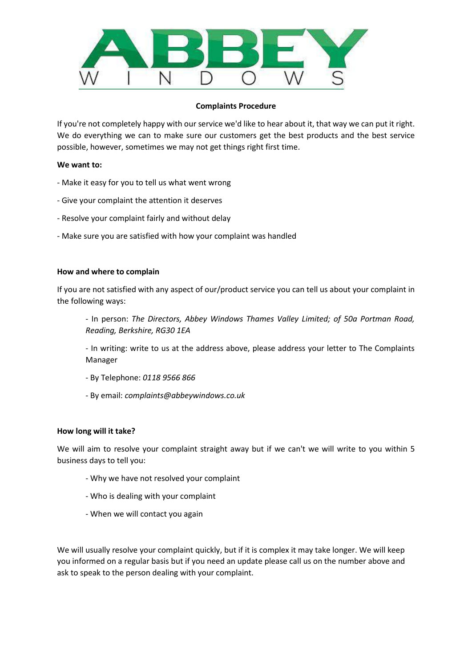

## **Complaints Procedure**

If you're not completely happy with our service we'd like to hear about it, that way we can put it right. We do everything we can to make sure our customers get the best products and the best service possible, however, sometimes we may not get things right first time.

### **We want to:**

- Make it easy for you to tell us what went wrong
- Give your complaint the attention it deserves
- Resolve your complaint fairly and without delay
- Make sure you are satisfied with how your complaint was handled

#### **How and where to complain**

If you are not satisfied with any aspect of our/product service you can tell us about your complaint in the following ways:

- In person: *The Directors, Abbey Windows Thames Valley Limited; of 50a Portman Road, Reading, Berkshire, RG30 1EA*

- In writing: write to us at the address above, please address your letter to The Complaints Manager

- By Telephone: *0118 9566 866*
- By email: *complaints@abbeywindows.co.uk*

#### **How long will it take?**

We will aim to resolve your complaint straight away but if we can't we will write to you within 5 business days to tell you:

- Why we have not resolved your complaint
- Who is dealing with your complaint
- When we will contact you again

We will usually resolve your complaint quickly, but if it is complex it may take longer. We will keep you informed on a regular basis but if you need an update please call us on the number above and ask to speak to the person dealing with your complaint.